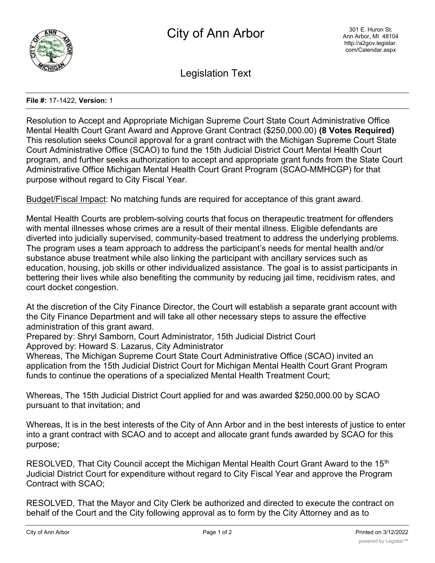

Legislation Text

## **File #:** 17-1422, **Version:** 1

Resolution to Accept and Appropriate Michigan Supreme Court State Court Administrative Office Mental Health Court Grant Award and Approve Grant Contract (\$250,000.00) **(8 Votes Required)** This resolution seeks Council approval for a grant contract with the Michigan Supreme Court State Court Administrative Office (SCAO) to fund the 15th Judicial District Court Mental Health Court program, and further seeks authorization to accept and appropriate grant funds from the State Court Administrative Office Michigan Mental Health Court Grant Program (SCAO-MMHCGP) for that purpose without regard to City Fiscal Year.

Budget/Fiscal Impact: No matching funds are required for acceptance of this grant award.

Mental Health Courts are problem-solving courts that focus on therapeutic treatment for offenders with mental illnesses whose crimes are a result of their mental illness. Eligible defendants are diverted into judicially supervised, community-based treatment to address the underlying problems. The program uses a team approach to address the participant's needs for mental health and/or substance abuse treatment while also linking the participant with ancillary services such as education, housing, job skills or other individualized assistance. The goal is to assist participants in bettering their lives while also benefiting the community by reducing jail time, recidivism rates, and court docket congestion.

At the discretion of the City Finance Director, the Court will establish a separate grant account with the City Finance Department and will take all other necessary steps to assure the effective administration of this grant award.

Prepared by: Shryl Samborn, Court Administrator, 15th Judicial District Court Approved by: Howard S. Lazarus, City Administrator

Whereas, The Michigan Supreme Court State Court Administrative Office (SCAO) invited an application from the 15th Judicial District Court for Michigan Mental Health Court Grant Program funds to continue the operations of a specialized Mental Health Treatment Court;

Whereas, The 15th Judicial District Court applied for and was awarded \$250,000.00 by SCAO pursuant to that invitation; and

Whereas, It is in the best interests of the City of Ann Arbor and in the best interests of justice to enter into a grant contract with SCAO and to accept and allocate grant funds awarded by SCAO for this purpose;

RESOLVED, That City Council accept the Michigan Mental Health Court Grant Award to the 15<sup>th</sup> Judicial District Court for expenditure without regard to City Fiscal Year and approve the Program Contract with SCAO;

RESOLVED, That the Mayor and City Clerk be authorized and directed to execute the contract on behalf of the Court and the City following approval as to form by the City Attorney and as to